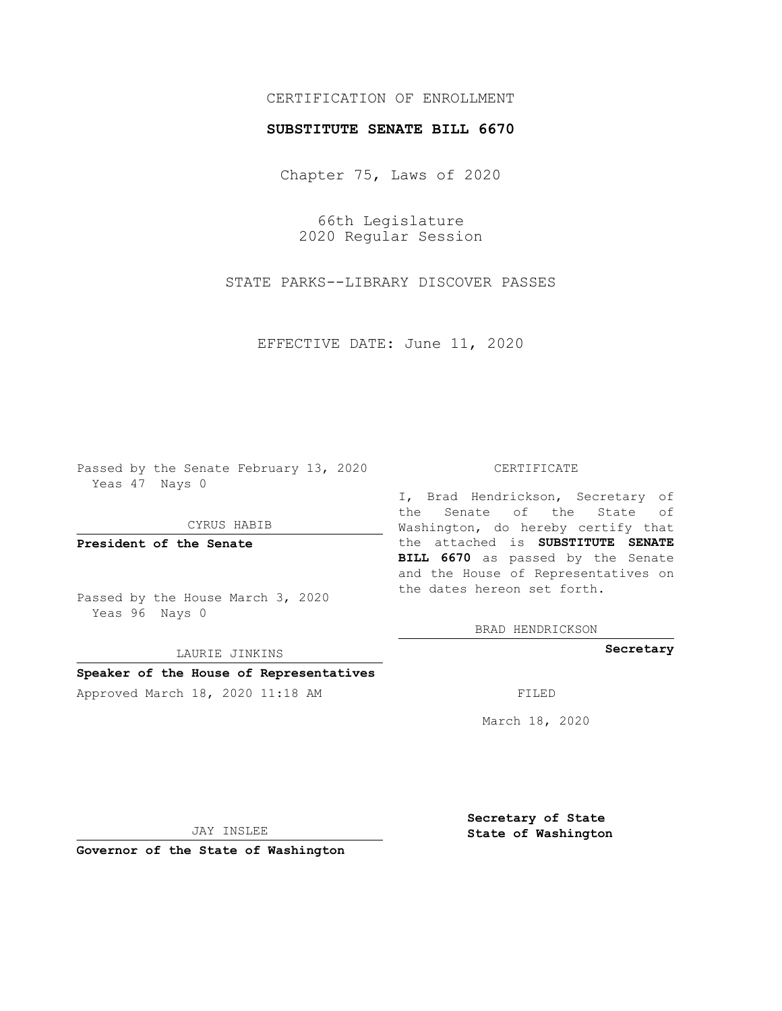## CERTIFICATION OF ENROLLMENT

## **SUBSTITUTE SENATE BILL 6670**

Chapter 75, Laws of 2020

66th Legislature 2020 Regular Session

STATE PARKS--LIBRARY DISCOVER PASSES

EFFECTIVE DATE: June 11, 2020

Passed by the Senate February 13, 2020 Yeas 47 Nays 0

CYRUS HABIB

**President of the Senate**

Passed by the House March 3, 2020 Yeas 96 Nays 0

LAURIE JINKINS

# **Speaker of the House of Representatives**

Approved March 18, 2020 11:18 AM FILED

#### CERTIFICATE

I, Brad Hendrickson, Secretary of the Senate of the State of Washington, do hereby certify that the attached is **SUBSTITUTE SENATE BILL 6670** as passed by the Senate and the House of Representatives on the dates hereon set forth.

BRAD HENDRICKSON

**Secretary**

March 18, 2020

JAY INSLEE

**Governor of the State of Washington**

**Secretary of State State of Washington**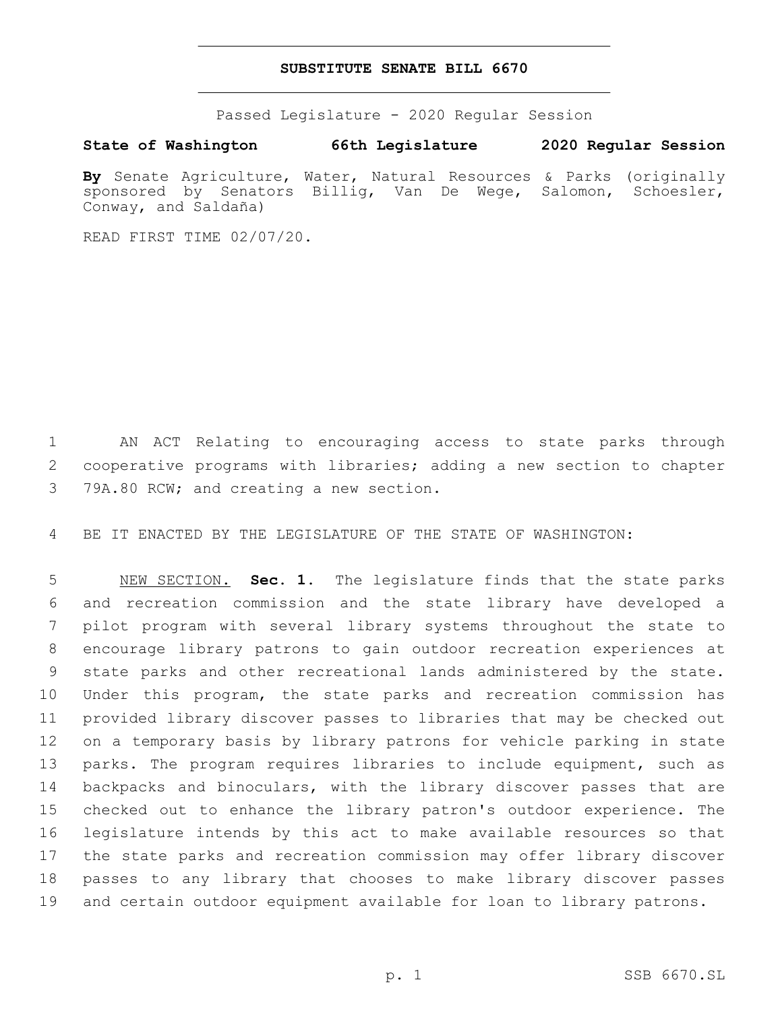### **SUBSTITUTE SENATE BILL 6670**

Passed Legislature - 2020 Regular Session

**State of Washington 66th Legislature 2020 Regular Session**

**By** Senate Agriculture, Water, Natural Resources & Parks (originally sponsored by Senators Billig, Van De Wege, Salomon, Schoesler, Conway, and Saldaña)

READ FIRST TIME 02/07/20.

 AN ACT Relating to encouraging access to state parks through cooperative programs with libraries; adding a new section to chapter 3 79A.80 RCW; and creating a new section.

BE IT ENACTED BY THE LEGISLATURE OF THE STATE OF WASHINGTON:

 NEW SECTION. **Sec. 1.** The legislature finds that the state parks and recreation commission and the state library have developed a pilot program with several library systems throughout the state to encourage library patrons to gain outdoor recreation experiences at state parks and other recreational lands administered by the state. Under this program, the state parks and recreation commission has provided library discover passes to libraries that may be checked out on a temporary basis by library patrons for vehicle parking in state parks. The program requires libraries to include equipment, such as backpacks and binoculars, with the library discover passes that are checked out to enhance the library patron's outdoor experience. The legislature intends by this act to make available resources so that the state parks and recreation commission may offer library discover passes to any library that chooses to make library discover passes and certain outdoor equipment available for loan to library patrons.